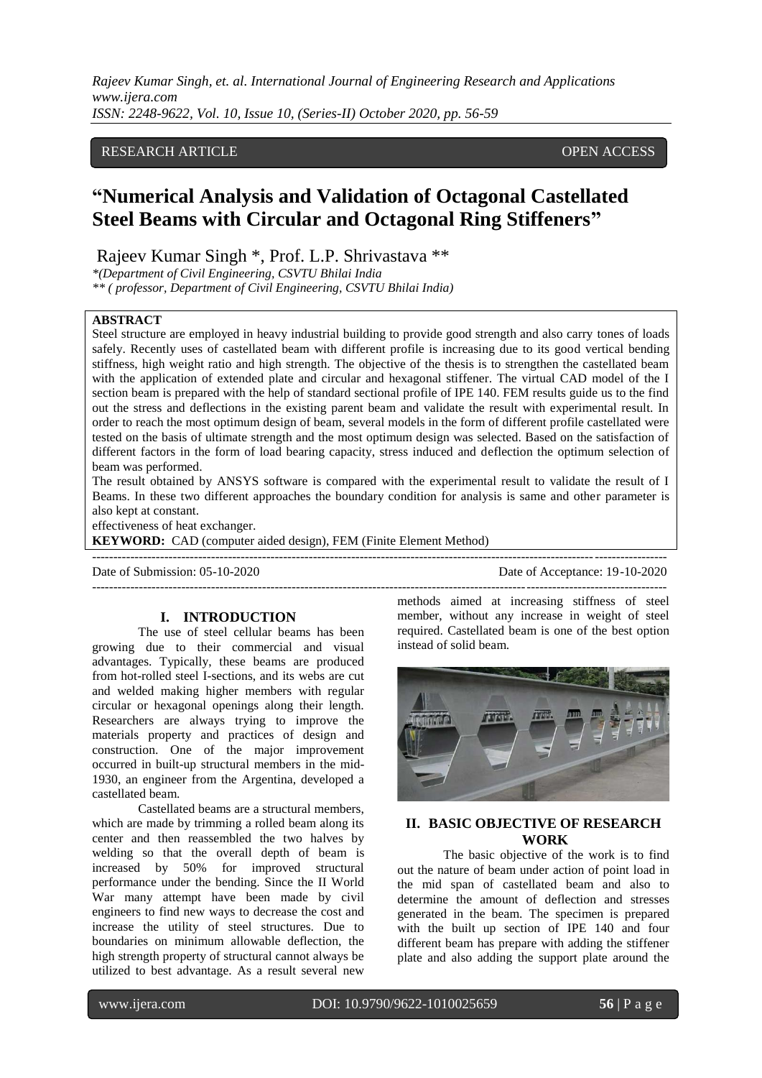*Rajeev Kumar Singh, et. al. International Journal of Engineering Research and Applications www.ijera.com ISSN: 2248-9622, Vol. 10, Issue 10, (Series-II) October 2020, pp. 56-59*

# RESEARCH ARTICLE **CONSERVERS** OPEN ACCESS

# **"Numerical Analysis and Validation of Octagonal Castellated Steel Beams with Circular and Octagonal Ring Stiffeners"**

Rajeev Kumar Singh \*, Prof. L.P. Shrivastava \*\*

*\*(Department of Civil Engineering, CSVTU Bhilai India \*\* ( professor, Department of Civil Engineering, CSVTU Bhilai India)*

## **ABSTRACT**

Steel structure are employed in heavy industrial building to provide good strength and also carry tones of loads safely. Recently uses of castellated beam with different profile is increasing due to its good vertical bending stiffness, high weight ratio and high strength. The objective of the thesis is to strengthen the castellated beam with the application of extended plate and circular and hexagonal stiffener. The virtual CAD model of the I section beam is prepared with the help of standard sectional profile of IPE 140. FEM results guide us to the find out the stress and deflections in the existing parent beam and validate the result with experimental result. In order to reach the most optimum design of beam, several models in the form of different profile castellated were tested on the basis of ultimate strength and the most optimum design was selected. Based on the satisfaction of different factors in the form of load bearing capacity, stress induced and deflection the optimum selection of beam was performed.

The result obtained by ANSYS software is compared with the experimental result to validate the result of I Beams. In these two different approaches the boundary condition for analysis is same and other parameter is also kept at constant.

---------------------------------------------------------------------------------------------------------------------------------------

effectiveness of heat exchanger.

**KEYWORD:** CAD (computer aided design), FEM (Finite Element Method)

Date of Submission: 05-10-2020 Date of Acceptance: 19-10-2020 ---------------------------------------------------------------------------------------------------------------------------------------

## **I. INTRODUCTION**

The use of steel cellular beams has been growing due to their commercial and visual advantages. Typically, these beams are produced from hot-rolled steel I-sections, and its webs are cut and welded making higher members with regular circular or hexagonal openings along their length. Researchers are always trying to improve the materials property and practices of design and construction. One of the major improvement occurred in built-up structural members in the mid-1930, an engineer from the Argentina, developed a castellated beam.

Castellated beams are a structural members, which are made by trimming a rolled beam along its center and then reassembled the two halves by welding so that the overall depth of beam is increased by 50% for improved structural performance under the bending. Since the II World War many attempt have been made by civil engineers to find new ways to decrease the cost and increase the utility of steel structures. Due to boundaries on minimum allowable deflection, the high strength property of structural cannot always be utilized to best advantage. As a result several new

methods aimed at increasing stiffness of steel member, without any increase in weight of steel required. Castellated beam is one of the best option instead of solid beam.



# **II. BASIC OBJECTIVE OF RESEARCH WORK**

The basic objective of the work is to find out the nature of beam under action of point load in the mid span of castellated beam and also to determine the amount of deflection and stresses generated in the beam. The specimen is prepared with the built up section of IPE 140 and four different beam has prepare with adding the stiffener plate and also adding the support plate around the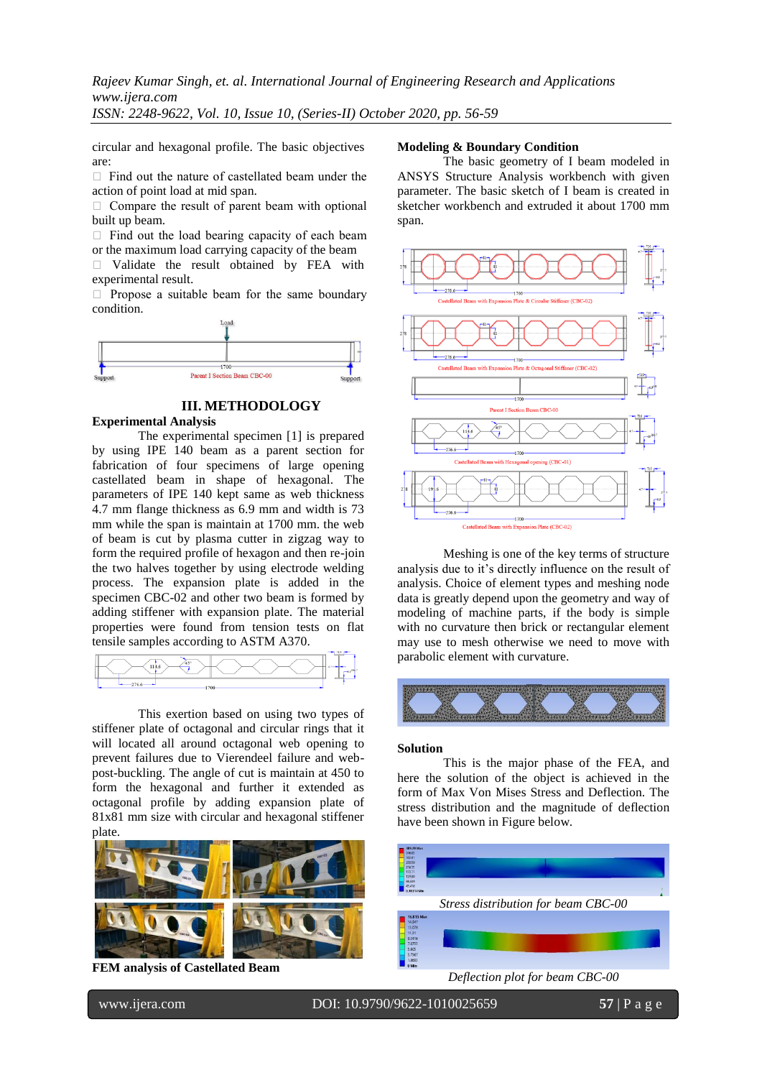*Rajeev Kumar Singh, et. al. International Journal of Engineering Research and Applications www.ijera.com ISSN: 2248-9622, Vol. 10, Issue 10, (Series-II) October 2020, pp. 56-59*

circular and hexagonal profile. The basic objectives are:

 $\Box$  Find out the nature of castellated beam under the action of point load at mid span.

 $\Box$  Compare the result of parent beam with optional built up beam.

 $\Box$  Find out the load bearing capacity of each beam or the maximum load carrying capacity of the beam

 Validate the result obtained by FEA with experimental result.

 $\Box$  Propose a suitable beam for the same boundary condition.



# **III. METHODOLOGY**

### **Experimental Analysis**

The experimental specimen [1] is prepared by using IPE 140 beam as a parent section for fabrication of four specimens of large opening castellated beam in shape of hexagonal. The parameters of IPE 140 kept same as web thickness 4.7 mm flange thickness as 6.9 mm and width is 73 mm while the span is maintain at 1700 mm. the web of beam is cut by plasma cutter in zigzag way to form the required profile of hexagon and then re-join the two halves together by using electrode welding process. The expansion plate is added in the specimen CBC-02 and other two beam is formed by adding stiffener with expansion plate. The material properties were found from tension tests on flat tensile samples according to ASTM A370.



This exertion based on using two types of stiffener plate of octagonal and circular rings that it will located all around octagonal web opening to prevent failures due to Vierendeel failure and webpost-buckling. The angle of cut is maintain at 450 to form the hexagonal and further it extended as octagonal profile by adding expansion plate of 81x81 mm size with circular and hexagonal stiffener plate.



**FEM analysis of Castellated Beam**

# **Modeling & Boundary Condition**

The basic geometry of I beam modeled in ANSYS Structure Analysis workbench with given parameter. The basic sketch of I beam is created in sketcher workbench and extruded it about 1700 mm span.



Meshing is one of the key terms of structure analysis due to it's directly influence on the result of analysis. Choice of element types and meshing node data is greatly depend upon the geometry and way of modeling of machine parts, if the body is simple with no curvature then brick or rectangular element may use to mesh otherwise we need to move with parabolic element with curvature.



#### **Solution**

This is the major phase of the FEA, and here the solution of the object is achieved in the form of Max Von Mises Stress and Deflection. The stress distribution and the magnitude of deflection have been shown in Figure below.



*Deflection plot for beam CBC-00*

www.ijera.com DOI: 10.9790/9622-1010025659 **57** | P a g e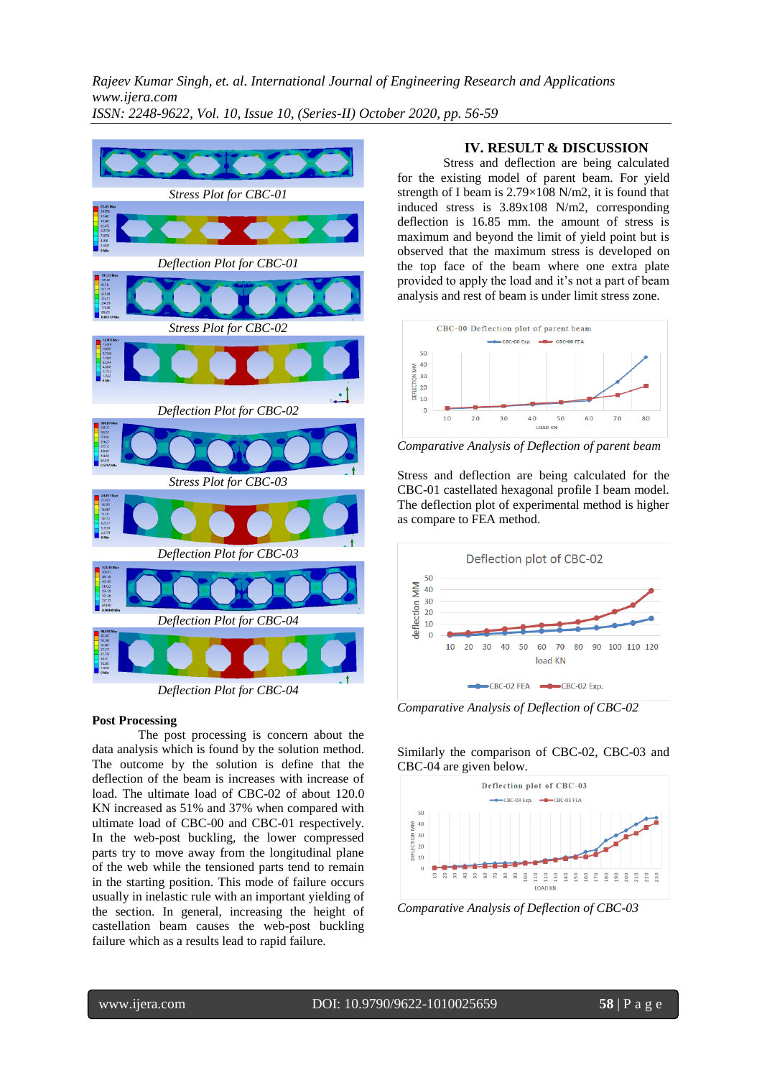*Rajeev Kumar Singh, et. al. International Journal of Engineering Research and Applications www.ijera.com ISSN: 2248-9622, Vol. 10, Issue 10, (Series-II) October 2020, pp. 56-59*



#### **Post Processing**

The post processing is concern about the data analysis which is found by the solution method. The outcome by the solution is define that the deflection of the beam is increases with increase of load. The ultimate load of CBC-02 of about 120.0 KN increased as 51% and 37% when compared with ultimate load of CBC-00 and CBC-01 respectively. In the web-post buckling, the lower compressed parts try to move away from the longitudinal plane of the web while the tensioned parts tend to remain in the starting position. This mode of failure occurs usually in inelastic rule with an important yielding of the section. In general, increasing the height of castellation beam causes the web-post buckling failure which as a results lead to rapid failure.

# **IV. RESULT & DISCUSSION**

Stress and deflection are being calculated for the existing model of parent beam. For yield strength of I beam is 2.79×108 N/m2, it is found that induced stress is 3.89x108 N/m2, corresponding deflection is 16.85 mm. the amount of stress is maximum and beyond the limit of yield point but is observed that the maximum stress is developed on the top face of the beam where one extra plate provided to apply the load and it's not a part of beam analysis and rest of beam is under limit stress zone.



*Comparative Analysis of Deflection of parent beam*

Stress and deflection are being calculated for the CBC-01 castellated hexagonal profile I beam model. The deflection plot of experimental method is higher as compare to FEA method.



*Comparative Analysis of Deflection of CBC-02*

## Similarly the comparison of CBC-02, CBC-03 and CBC-04 are given below.



*Comparative Analysis of Deflection of CBC-03*